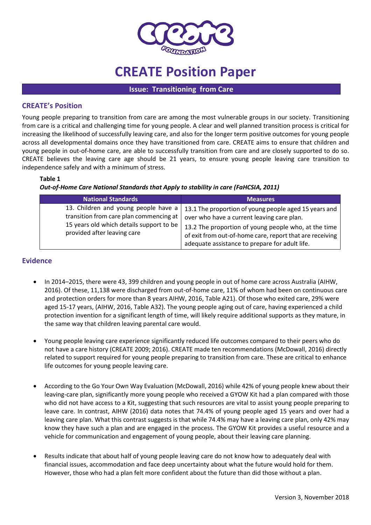

# **CREATE Position Paper**

**Issue: Transitioning from Care**

## **CREATE's Position**

Young people preparing to transition from care are among the most vulnerable groups in our society. Transitioning from care is a critical and challenging time for young people. A clear and well planned transition process is critical for increasing the likelihood of successfully leaving care, and also for the longer term positive outcomes for young people across all developmental domains once they have transitioned from care. CREATE aims to ensure that children and young people in out-of-home care, are able to successfully transition from care and are closely supported to do so. CREATE believes the leaving care age should be 21 years, to ensure young people leaving care transition to independence safely and with a minimum of stress.

#### **Table 1**

*Out-of-Home Care National Standards that Apply to stability in care (FaHCSIA, 2011)*

| <b>National Standards</b>                                                                                                                                  | <b>Measures</b>                                                                                                                                                                                                                                                           |
|------------------------------------------------------------------------------------------------------------------------------------------------------------|---------------------------------------------------------------------------------------------------------------------------------------------------------------------------------------------------------------------------------------------------------------------------|
| 13. Children and young people have a<br>transition from care plan commencing at<br>15 years old which details support to be<br>provided after leaving care | 13.1 The proportion of young people aged 15 years and<br>over who have a current leaving care plan.<br>13.2 The proportion of young people who, at the time<br>of exit from out-of-home care, report that are receiving<br>adequate assistance to prepare for adult life. |

# **Evidence**

- In 2014–2015, there were 43, 399 children and young people in out of home care across Australia (AIHW, 2016). Of these, 11,138 were discharged from out-of-home care, 11% of whom had been on continuous care and protection orders for more than 8 years AIHW, 2016, Table A21). Of those who exited care, 29% were aged 15-17 years, (AIHW, 2016, Table A32). The young people aging out of care, having experienced a child protection invention for a significant length of time, will likely require additional supports as they mature, in the same way that children leaving parental care would.
- Young people leaving care experience significantly reduced life outcomes compared to their peers who do not have a care history (CREATE 2009; 2016). CREATE made ten recommendations (McDowall, 2016) directly related to support required for young people preparing to transition from care. These are critical to enhance life outcomes for young people leaving care.
- According to the Go Your Own Way Evaluation (McDowall, 2016) while 42% of young people knew about their leaving-care plan, significantly more young people who received a GYOW Kit had a plan compared with those who did not have access to a Kit, suggesting that such resources are vital to assist young people preparing to leave care. In contrast, AIHW (2016) data notes that 74.4% of young people aged 15 years and over had a leaving care plan. What this contrast suggests is that while 74.4% may have a leaving care plan, only 42% may know they have such a plan and are engaged in the process. The GYOW Kit provides a useful resource and a vehicle for communication and engagement of young people, about their leaving care planning.
- Results indicate that about half of young people leaving care do not know how to adequately deal with financial issues, accommodation and face deep uncertainty about what the future would hold for them. However, those who had a plan felt more confident about the future than did those without a plan.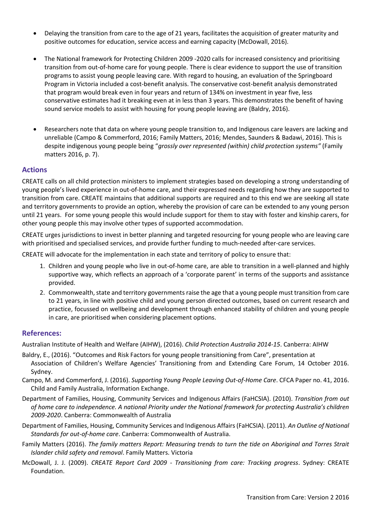- Delaying the transition from care to the age of 21 years, facilitates the acquisition of greater maturity and positive outcomes for education, service access and earning capacity (McDowall, 2016).
- The National framework for Protecting Children 2009 -2020 calls for increased consistency and prioritising transition from out-of-home care for young people. There is clear evidence to support the use of transition programs to assist young people leaving care. With regard to housing, an evaluation of the Springboard Program in Victoria included a cost-benefit analysis. The conservative cost-benefit analysis demonstrated that program would break even in four years and return of 134% on investment in year five, less conservative estimates had it breaking even at in less than 3 years. This demonstrates the benefit of having sound service models to assist with housing for young people leaving are (Baldry, 2016).
- Researchers note that data on where young people transition to, and Indigenous care leavers are lacking and unreliable (Campo & Commerford, 2016; Family Matters, 2016; Mendes, Saunders & Badawi, 2016). This is despite indigenous young people being "*grossly over represented (within) child protection systems"* (Family matters 2016, p. 7).

## **Actions**

CREATE calls on all child protection ministers to implement strategies based on developing a strong understanding of young people's lived experience in out-of-home care, and their expressed needs regarding how they are supported to transition from care. CREATE maintains that additional supports are required and to this end we are seeking all state and territory governments to provide an option, whereby the provision of care can be extended to any young person until 21 years. For some young people this would include support for them to stay with foster and kinship carers, for other young people this may involve other types of supported accommodation.

CREATE urges jurisdictions to invest in better planning and targeted resourcing for young people who are leaving care with prioritised and specialised services, and provide further funding to much-needed after-care services.

CREATE will advocate for the implementation in each state and territory of policy to ensure that:

- 1. Children and young people who live in out-of-home care, are able to transition in a well-planned and highly supportive way, which reflects an approach of a 'corporate parent' in terms of the supports and assistance provided.
- 2. Commonwealth, state and territory governments raise the age that a young people must transition from care to 21 years, in line with positive child and young person directed outcomes, based on current research and practice, focussed on wellbeing and development through enhanced stability of children and young people in care, are prioritised when considering placement options.

### **References:**

Australian Institute of Health and Welfare (AIHW), (2016). *Child Protection Australia 2014-15*. Canberra: AIHW

- Baldry, E., (2016). "Outcomes and Risk Factors for young people transitioning from Care", presentation at Association of Children's Welfare Agencies' Transitioning from and Extending Care Forum, 14 October 2016. Sydney.
- Campo, M. and Commerford, J. (2016). *Supporting Young People Leaving Out-of-Home Care*. CFCA Paper no. 41, 2016. Child and Family Australia, Information Exchange.
- Department of Families, Housing, Community Services and Indigenous Affairs (FaHCSIA). (2010). *Transition from out of home care to independence. A national Priority under the National framework for protecting Australia's children 2009-2020*. Canberra: Commonwealth of Australia
- Department of Families, Housing, Community Services and Indigenous Affairs (FaHCSIA). (2011). *An Outline of National Standards for out-of-home care*. Canberra: Commonwealth of Australia.
- Family Matters (2016). *The family matters Report: Measuring trends to turn the tide on Aboriginal and Torres Strait Islander child safety and removal*. Family Matters. Victoria
- McDowall, J. J. (2009). *CREATE Report Card 2009 - Transitioning from care: Tracking progress*. Sydney: CREATE Foundation.